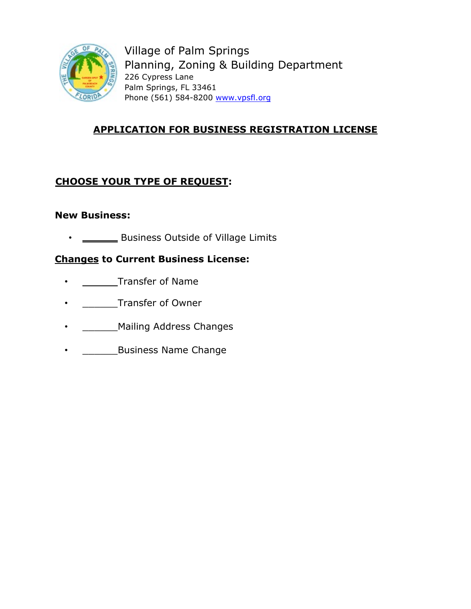

Village of Palm Springs Planning, Zoning & Building Department 226 Cypress Lane Palm Springs, FL 33461 Phone (561) 584-8200 www.vpsfl.org

# **APPLICATION FOR BUSINESS REGISTRATION LICENSE**

## **CHOOSE YOUR TYPE OF REQUEST:**

## **New Business:**

• <u>\_\_\_\_\_</u> Business Outside of Village Limits

## **Changes to Current Business License:**

- \_\_\_\_\_\_Transfer of Name
- \_\_\_\_\_\_Transfer of Owner
- **\_\_\_\_\_\_\_\_ Mailing Address Changes**
- **\_\_\_\_\_\_\_\_Business Name Change**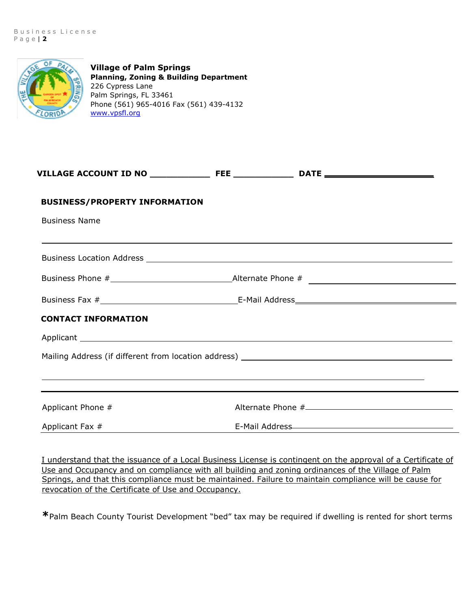

**Village of Palm Springs Planning, Zoning & Building Department**  226 Cypress Lane Palm Springs, FL 33461 Phone (561) 965-4016 Fax (561) 439-4132 [www.vpsfl.org](http://www.vpsfl.org/)

| <b>BUSINESS/PROPERTY INFORMATION</b>                                                                                                                                 |  |                                                     |  |
|----------------------------------------------------------------------------------------------------------------------------------------------------------------------|--|-----------------------------------------------------|--|
| <b>Business Name</b>                                                                                                                                                 |  |                                                     |  |
|                                                                                                                                                                      |  |                                                     |  |
|                                                                                                                                                                      |  |                                                     |  |
|                                                                                                                                                                      |  |                                                     |  |
| <b>CONTACT INFORMATION</b>                                                                                                                                           |  |                                                     |  |
|                                                                                                                                                                      |  |                                                     |  |
| ,我们也不会有什么。""我们的人,我们也不会有什么?""我们的人,我们也不会有什么?""我们的人,我们也不会有什么?""我们的人,我们也不会有什么?""我们的人<br>,我们也不会有什么。""我们的人,我们也不会有什么?""我们的人,我们也不会有什么?""我们的人,我们也不会有什么?""我们的人,我们也不会有什么?""我们的人 |  |                                                     |  |
| Applicant Phone #                                                                                                                                                    |  |                                                     |  |
| Applicant Fax #                                                                                                                                                      |  | E-Mail Address <b>E-Mail Address E-Mail Address</b> |  |

I understand that the issuance of a Local Business License is contingent on the approval of a Certificate of Use and Occupancy and on compliance with all building and zoning ordinances of the Village of Palm Springs, and that this compliance must be maintained. Failure to maintain compliance will be cause for revocation of the Certificate of Use and Occupancy.

**\***Palm Beach County Tourist Development "bed" tax may be required if dwelling is rented for short terms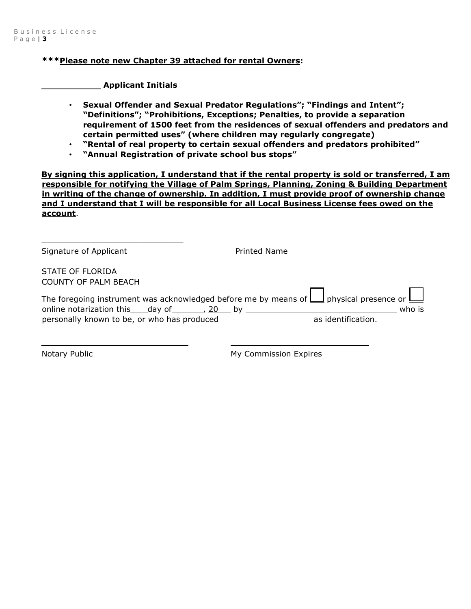#### **\*\*\*Please note new Chapter 39 attached for rental Owners:**

 **Applicant Initials** 

- **Sexual Offender and Sexual Predator Regulations"; "Findings and Intent"; "Definitions"; "Prohibitions, Exceptions; Penalties, to provide a separation requirement of 1500 feet from the residences of sexual offenders and predators and certain permitted uses" (where children may regularly congregate)**
- **"Rental of real property to certain sexual offenders and predators prohibited"**
- **"Annual Registration of private school bus stops"**

**By signing this application, I understand that if the rental property is sold or transferred, I am responsible for notifying the Village of Palm Springs, Planning, Zoning & Building Department in writing of the change of ownership. In addition, I must provide proof of ownership change and I understand that I will be responsible for all Local Business License fees owed on the account**.

| Signature of Applicant                                                                                         | <b>Printed Name</b>                                                                                          |
|----------------------------------------------------------------------------------------------------------------|--------------------------------------------------------------------------------------------------------------|
| STATE OF FLORIDA                                                                                               |                                                                                                              |
| <b>COUNTY OF PALM BEACH</b>                                                                                    |                                                                                                              |
|                                                                                                                | The foregoing instrument was acknowledged before me by means of $\bigsqcup$ physical presence or $\bigsqcup$ |
| online notarization this day of 5 and by the set of the set of the set of the set of the set of the set of the | who is                                                                                                       |
| personally known to be, or who has produced example as identification.                                         |                                                                                                              |
|                                                                                                                |                                                                                                              |

 $\overline{\phantom{a}}$  , where  $\overline{\phantom{a}}$  , where  $\overline{\phantom{a}}$  , where  $\overline{\phantom{a}}$  , where  $\overline{\phantom{a}}$ 

Notary Public Notary Public My Commission Expires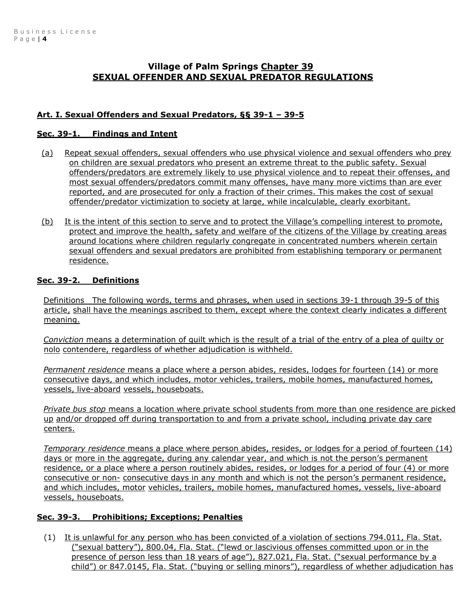## **Village of Palm Springs Chapter 39 SEXUAL OFFENDER AND SEXUAL PREDATOR REGULATIONS**

## **Art. I. Sexual Offenders and Sexual Predators, §§ 39-1 – 39-5**

### **Sec. 39-1. Findings and Intent**

- (a) Repeat sexual offenders, sexual offenders who use physical violence and sexual offenders who prey on children are sexual predators who present an extreme threat to the public safety. Sexual offenders/predators are extremely likely to use physical violence and to repeat their offenses, and most sexual offenders/predators commit many offenses, have many more victims than are ever reported, and are prosecuted for only a fraction of their crimes. This makes the cost of sexual offender/predator victimization to society at large, while incalculable, clearly exorbitant.
- (b) It is the intent of this section to serve and to protect the Village's compelling interest to promote, protect and improve the health, safety and welfare of the citizens of the Village by creating areas around locations where children regularly congregate in concentrated numbers wherein certain sexual offenders and sexual predators are prohibited from establishing temporary or permanent residence.

### **Sec. 39-2. Definitions**

Definitions The following words, terms and phrases, when used in sections 39-1 through 39-5 of this article, shall have the meanings ascribed to them, except where the context clearly indicates a different meaning.

*Conviction* means a determination of guilt which is the result of a trial of the entry of a plea of guilty or nolo contendere, regardless of whether adjudication is withheld.

*Permanent residence* means a place where a person abides, resides, lodges for fourteen (14) or more consecutive days, and which includes, motor vehicles, trailers, mobile homes, manufactured homes, vessels, live-aboard vessels, houseboats.

*Private bus stop* means a location where private school students from more than one residence are picked up and/or dropped off during transportation to and from a private school, including private day care centers.

*Temporary residence* means a place where person abides, resides, or lodges for a period of fourteen (14) days or more in the aggregate, during any calendar year, and which is not the person's permanent residence, or a place where a person routinely abides, resides, or lodges for a period of four (4) or more consecutive or non- consecutive days in any month and which is not the person's permanent residence, and which includes, motor vehicles, trailers, mobile homes, manufactured homes, vessels, live-aboard vessels, houseboats.

## **Sec. 39-3. Prohibitions; Exceptions; Penalties**

(1) It is unlawful for any person who has been convicted of a violation of sections 794.011, Fla. Stat. ("sexual battery"), 800.04, Fla. Stat. ("lewd or lascivious offenses committed upon or in the presence of person less than 18 years of age"), 827.021, Fla. Stat. ("sexual performance by a child") or 847.0145, Fla. Stat. ("buying or selling minors"), regardless of whether adjudication has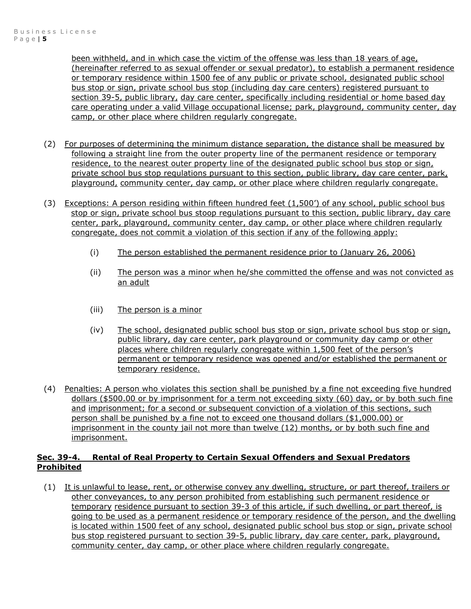been withheld, and in which case the victim of the offense was less than 18 years of age, (hereinafter referred to as sexual offender or sexual predator), to establish a permanent residence or temporary residence within 1500 fee of any public or private school, designated public school bus stop or sign, private school bus stop (including day care centers) registered pursuant to section 39-5, public library, day care center, specifically including residential or home based day care operating under a valid Village occupational license; park, playground, community center, day camp, or other place where children regularly congregate.

- (2) For purposes of determining the minimum distance separation, the distance shall be measured by following a straight line from the outer property line of the permanent residence or temporary residence, to the nearest outer property line of the designated public school bus stop or sign, private school bus stop regulations pursuant to this section, public library, day care center, park, playground, community center, day camp, or other place where children regularly congregate.
- (3) Exceptions: A person residing within fifteen hundred feet (1,500') of any school, public school bus stop or sign, private school bus stoop regulations pursuant to this section, public library, day care center, park, playground, community center, day camp, or other place where children regularly congregate, does not commit a violation of this section if any of the following apply:
	- (i) The person established the permanent residence prior to (January 26, 2006)
	- (ii) The person was a minor when he/she committed the offense and was not convicted as an adult
	- (iii) The person is a minor
	- (iv) The school, designated public school bus stop or sign, private school bus stop or sign, public library, day care center, park playground or community day camp or other places where children regularly congregate within 1,500 feet of the person's permanent or temporary residence was opened and/or established the permanent or temporary residence.
- (4) Penalties: A person who violates this section shall be punished by a fine not exceeding five hundred dollars (\$500.00 or by imprisonment for a term not exceeding sixty (60) day, or by both such fine and imprisonment; for a second or subsequent conviction of a violation of this sections, such person shall be punished by a fine not to exceed one thousand dollars (\$1,000.00) or imprisonment in the county jail not more than twelve (12) months, or by both such fine and imprisonment.

#### **Sec. 39-4. Rental of Real Property to Certain Sexual Offenders and Sexual Predators Prohibited**

(1) It is unlawful to lease, rent, or otherwise convey any dwelling, structure, or part thereof, trailers or other conveyances, to any person prohibited from establishing such permanent residence or temporary residence pursuant to section 39-3 of this article, if such dwelling, or part thereof, is going to be used as a permanent residence or temporary residence of the person, and the dwelling is located within 1500 feet of any school, designated public school bus stop or sign, private school bus stop registered pursuant to section 39-5, public library, day care center, park, playground, community center, day camp, or other place where children regularly congregate.